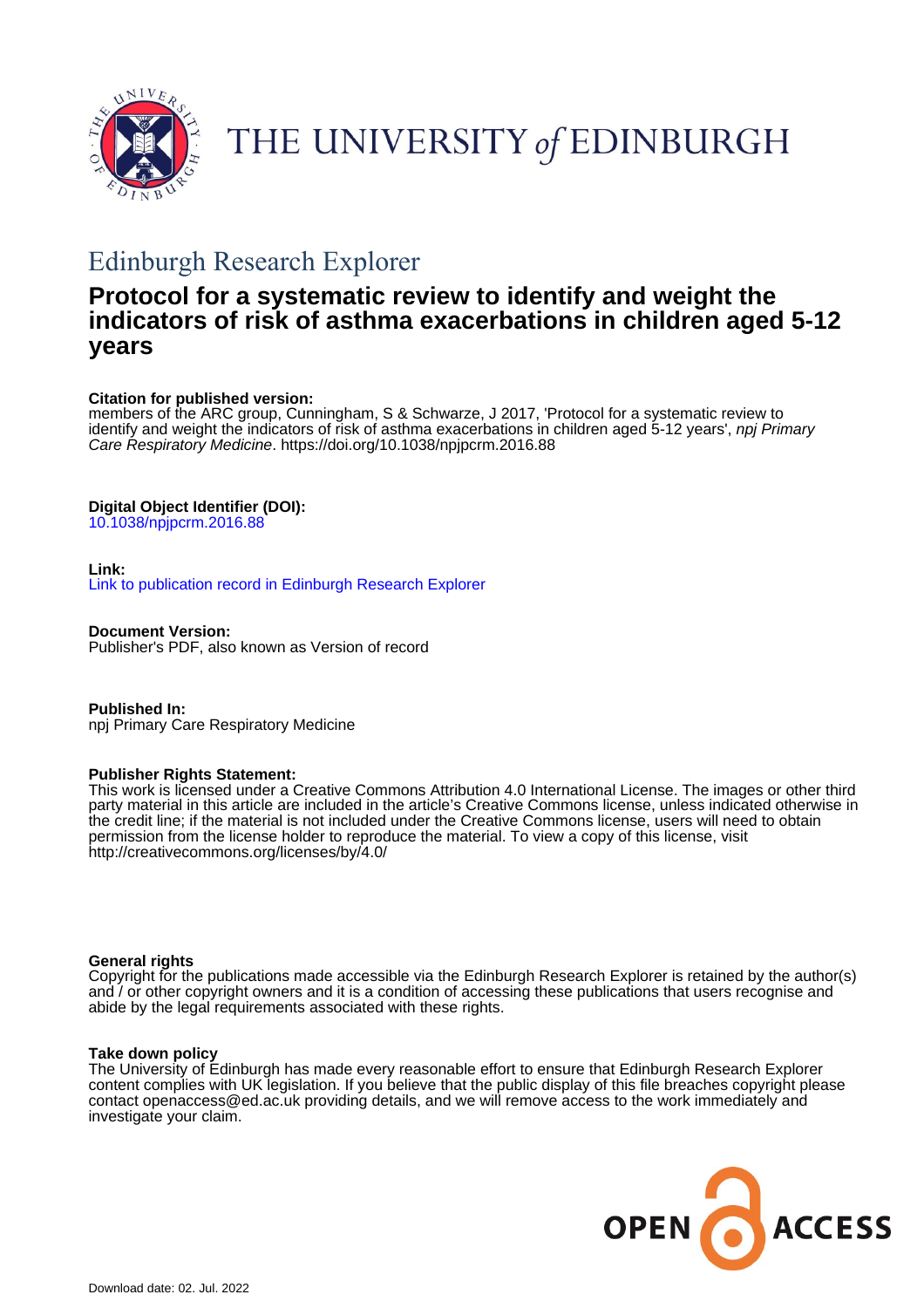

THE UNIVERSITY of EDINBURGH

# Edinburgh Research Explorer

# **Protocol for a systematic review to identify and weight the indicators of risk of asthma exacerbations in children aged 5-12 years**

# **Citation for published version:**

members of the ARC group, Cunningham, S & Schwarze, J 2017, 'Protocol for a systematic review to identify and weight the indicators of risk of asthma exacerbations in children aged 5-12 years', npj Primary Care Respiratory Medicine. <https://doi.org/10.1038/npjpcrm.2016.88>

# **Digital Object Identifier (DOI):**

[10.1038/npjpcrm.2016.88](https://doi.org/10.1038/npjpcrm.2016.88)

# **Link:**

[Link to publication record in Edinburgh Research Explorer](https://www.research.ed.ac.uk/en/publications/93d7a5ae-0d1d-4e98-a006-1cb7b7ff5f5e)

**Document Version:** Publisher's PDF, also known as Version of record

**Published In:** npj Primary Care Respiratory Medicine

# **Publisher Rights Statement:**

This work is licensed under a Creative Commons Attribution 4.0 International License. The images or other third party material in this article are included in the article's Creative Commons license, unless indicated otherwise in the credit line; if the material is not included under the Creative Commons license, users will need to obtain permission from the license holder to reproduce the material. To view a copy of this license, visit http://creativecommons.org/licenses/by/4.0/

# **General rights**

Copyright for the publications made accessible via the Edinburgh Research Explorer is retained by the author(s) and / or other copyright owners and it is a condition of accessing these publications that users recognise and abide by the legal requirements associated with these rights.

# **Take down policy**

The University of Edinburgh has made every reasonable effort to ensure that Edinburgh Research Explorer content complies with UK legislation. If you believe that the public display of this file breaches copyright please contact openaccess@ed.ac.uk providing details, and we will remove access to the work immediately and investigate your claim.

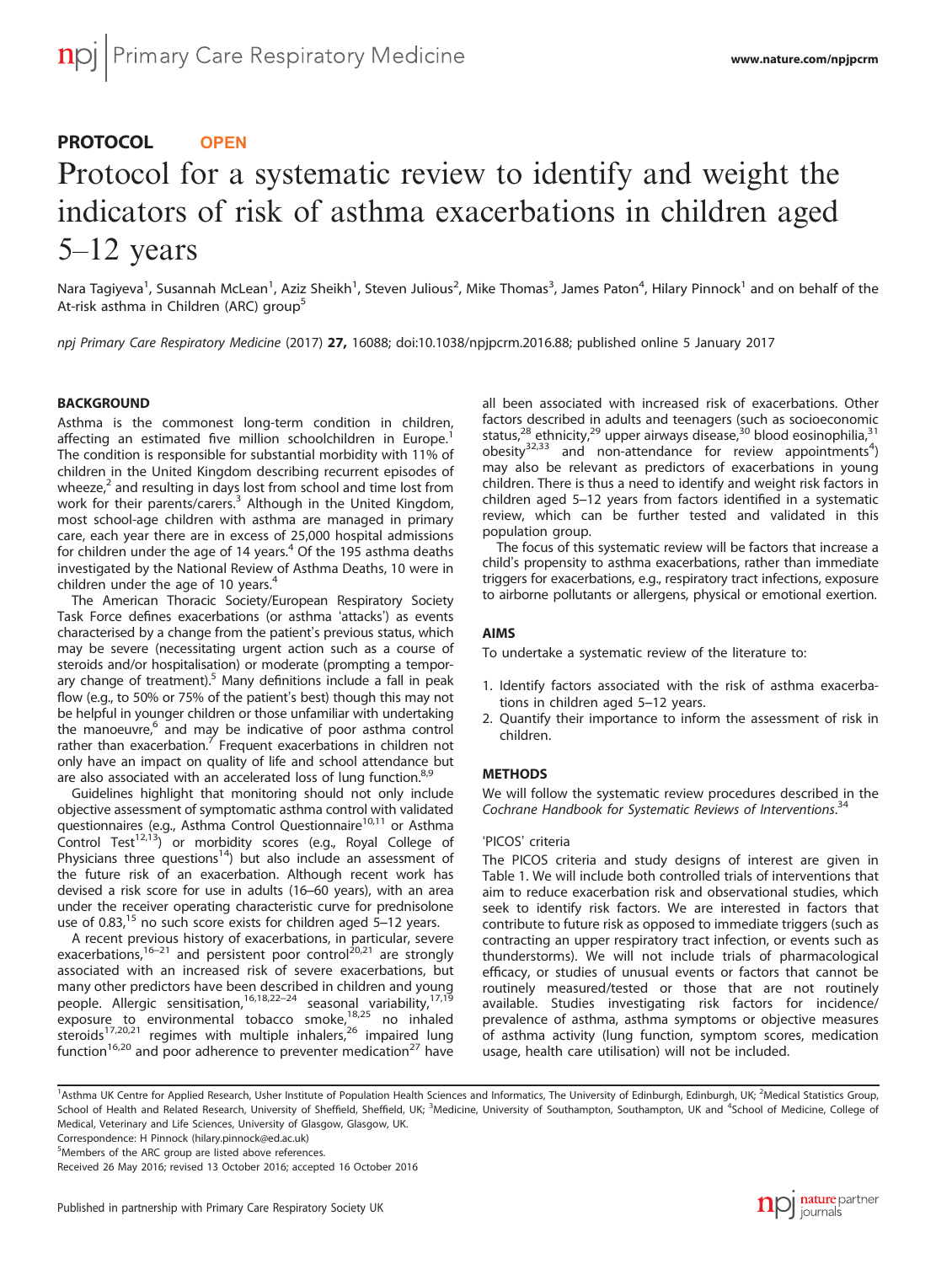# PROTOCOL **OPEN** Protocol for a systematic review to identify and weight the indicators of risk of asthma exacerbations in children aged 5–12 years

Nara Tagiyeva<sup>1</sup>, Susannah McLean<sup>1</sup>, Aziz Sheikh<sup>1</sup>, Steven Julious<sup>2</sup>, Mike Thomas<sup>3</sup>, James Paton<sup>4</sup>, Hilary Pinnock<sup>1</sup> and on behalf of the At-risk asthma in Children (ARC) group<sup>5</sup>

npj Primary Care Respiratory Medicine (2017) 27, 16088; doi:[10.1038/npjpcrm.2016.88](http://dx.doi.org/10.1038/npjpcrm.2016.88); published online 5 January 2017

# BACKGROUND

Asthma is the commonest long-term condition in children, affecting an estimated five million schoolchildren in Europe.<sup>[1](#page-3-0)</sup> The condition is responsible for substantial morbidity with 11% of children in the United Kingdom describing recurrent episodes of wheeze, $2$  and resulting in days lost from school and time lost from work for their parents/carers.<sup>[3](#page-3-0)</sup> Although in the United Kingdom, most school-age children with asthma are managed in primary care, each year there are in excess of 25,000 hospital admissions for children under the age of 1[4](#page-3-0) years.<sup>4</sup> Of the 195 asthma deaths investigated by the National Review of Asthma Deaths, 10 were in children under the age of 10 years.<sup>[4](#page-3-0)</sup>

The American Thoracic Society/European Respiratory Society Task Force defines exacerbations (or asthma 'attacks') as events characterised by a change from the patient's previous status, which may be severe (necessitating urgent action such as a course of steroids and/or hospitalisation) or moderate (prompting a temporary change of treatment).<sup>5</sup> Many definitions include a fall in peak flow (e.g., to 50% or 75% of the patient's best) though this may not be helpful in younger children or those unfamiliar with undertaking the manoeuvre, $6$  and may be indicative of poor asthma control rather than exacerbation.<sup>7</sup> Frequent exacerbations in children not only have an impact on quality of life and school attendance but are also associated with an accelerated loss of lung function.<sup>8,9</sup>

Guidelines highlight that monitoring should not only include objective assessment of symptomatic asthma control with validated questionnaires (e.g., Asthma Control Questionnaire<sup>[10](#page-3-0),[11](#page-3-0)</sup> or Asthma Control Test<sup>12,13</sup>) or morbidity scores (e.g., Royal College of Physicians three questions<sup>[14](#page-3-0)</sup>) but also include an assessment of the future risk of an exacerbation. Although recent work has devised a risk score for use in adults (16–60 years), with an area under the receiver operating characteristic curve for prednisolone use of  $0.83<sup>15</sup>$  $0.83<sup>15</sup>$  $0.83<sup>15</sup>$  no such score exists for children aged 5-12 years.

A recent previous history of exacerbations, in particular, severe exacerbations,  $16-21$  $16-21$  and persistent poor control<sup>[20](#page-3-0),21</sup> are strongly associated with an increased risk of severe exacerbations, but many other predictors have been d[escrib](#page-3-0)ed in children and young<br>people. Allergic sensitisation,<sup>[16](#page-3-0),[18](#page-3-0),22–24</sup> seasonal variability,<sup>[17,19](#page-3-0)</sup> exposure to environmental tobacco smoke,<sup>[18,25](#page-3-0)</sup> no inhaled steroids<sup>[17,20](#page-3-0),[21](#page-3-0)</sup> regimes with multiple inhalers,<sup>[26](#page-3-0)</sup> impaired lung function<sup>[16,20](#page-3-0)</sup> and poor adherence to preventer medication<sup>[27](#page-3-0)</sup> have all been associated with increased risk of exacerbations. Other factors described in adults and teenagers (such as socioeconomic status,<sup>[28](#page-3-0)</sup> ethnicity,<sup>[29](#page-3-0)</sup> upper airways disease,<sup>[30](#page-4-0)</sup> blood eosinophilia,<sup>[31](#page-4-0)</sup>  $obsity^{32,33}$  $obsity^{32,33}$  $obsity^{32,33}$  and non-attendance for review appointments<sup>[4](#page-3-0)</sup>) may also be relevant as predictors of exacerbations in young children. There is thus a need to identify and weight risk factors in children aged 5–12 years from factors identified in a systematic review, which can be further tested and validated in this population group.

The focus of this systematic review will be factors that increase a child's propensity to asthma exacerbations, rather than immediate triggers for exacerbations, e.g., respiratory tract infections, exposure to airborne pollutants or allergens, physical or emotional exertion.

#### AIMS

To undertake a systematic review of the literature to:

- 1. Identify factors associated with the risk of asthma exacerbations in children aged 5–12 years.
- 2. Quantify their importance to inform the assessment of risk in children.

# **METHODS**

We will follow the systematic review procedures described in the Cochrane Handbook for Systematic Reviews of Interventions.<sup>[34](#page-4-0)</sup>

#### 'PICOS' criteria

The PICOS criteria and study designs of interest are given in [Table 1](#page-2-0). We will include both controlled trials of interventions that aim to reduce exacerbation risk and observational studies, which seek to identify risk factors. We are interested in factors that contribute to future risk as opposed to immediate triggers (such as contracting an upper respiratory tract infection, or events such as thunderstorms). We will not include trials of pharmacological efficacy, or studies of unusual events or factors that cannot be routinely measured/tested or those that are not routinely available. Studies investigating risk factors for incidence/ prevalence of asthma, asthma symptoms or objective measures of asthma activity (lung function, symptom scores, medication usage, health care utilisation) will not be included.

Correspondence: H Pinnock ([hilary.pinnock@ed.ac.uk](mailto:hilary.pinnock@ed.ac.uk))

<sup>5</sup>Members of the ARC group are listed above references.

<sup>&</sup>lt;sup>1</sup>Asthma UK Centre for Applied Research, Usher Institute of Population Health Sciences and Informatics, The University of Edinburgh, Edinburgh, UK; <sup>2</sup>Medical Statistics Group, School of Health and Related Research, University of Sheffield, Sheffield, UK; <sup>3</sup>Medicine, University of Southampton, Southampton, UK and <sup>4</sup>School of Medicine, College of Medical, Veterinary and Life Sciences, University of Glasgow, Glasgow, UK.

Received 26 May 2016; revised 13 October 2016; accepted 16 October 2016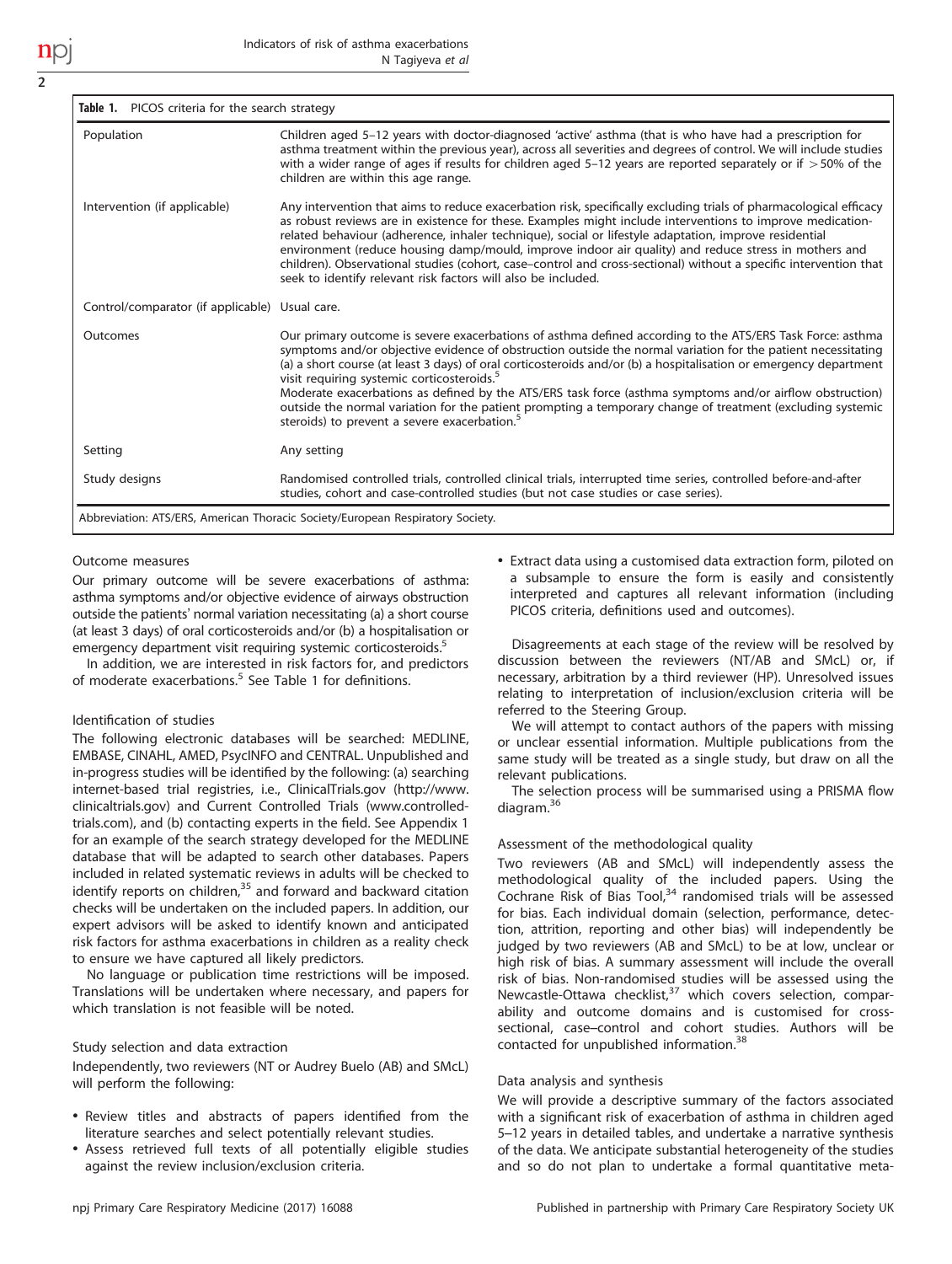<span id="page-2-0"></span>2

| <b>Table 1.</b> PICOS criteria for the search strategy |                                                                                                                                                                                                                                                                                                                                                                                                                                                                                                                                                                                                                                                                                                |  |
|--------------------------------------------------------|------------------------------------------------------------------------------------------------------------------------------------------------------------------------------------------------------------------------------------------------------------------------------------------------------------------------------------------------------------------------------------------------------------------------------------------------------------------------------------------------------------------------------------------------------------------------------------------------------------------------------------------------------------------------------------------------|--|
| Population                                             | Children aged 5-12 years with doctor-diagnosed 'active' asthma (that is who have had a prescription for<br>asthma treatment within the previous year), across all severities and degrees of control. We will include studies<br>with a wider range of ages if results for children aged 5-12 years are reported separately or if $>$ 50% of the<br>children are within this age range.                                                                                                                                                                                                                                                                                                         |  |
| Intervention (if applicable)                           | Any intervention that aims to reduce exacerbation risk, specifically excluding trials of pharmacological efficacy<br>as robust reviews are in existence for these. Examples might include interventions to improve medication-<br>related behaviour (adherence, inhaler technique), social or lifestyle adaptation, improve residential<br>environment (reduce housing damp/mould, improve indoor air quality) and reduce stress in mothers and<br>children). Observational studies (cohort, case-control and cross-sectional) without a specific intervention that<br>seek to identify relevant risk factors will also be included.                                                           |  |
| Control/comparator (if applicable) Usual care.         |                                                                                                                                                                                                                                                                                                                                                                                                                                                                                                                                                                                                                                                                                                |  |
| Outcomes                                               | Our primary outcome is severe exacerbations of asthma defined according to the ATS/ERS Task Force: asthma<br>symptoms and/or objective evidence of obstruction outside the normal variation for the patient necessitating<br>(a) a short course (at least 3 days) of oral corticosteroids and/or (b) a hospitalisation or emergency department<br>visit requiring systemic corticosteroids. <sup>5</sup><br>Moderate exacerbations as defined by the ATS/ERS task force (asthma symptoms and/or airflow obstruction)<br>outside the normal variation for the patient prompting a temporary change of treatment (excluding systemic<br>steroids) to prevent a severe exacerbation. <sup>5</sup> |  |
| Setting                                                | Any setting                                                                                                                                                                                                                                                                                                                                                                                                                                                                                                                                                                                                                                                                                    |  |
| Study designs                                          | Randomised controlled trials, controlled clinical trials, interrupted time series, controlled before-and-after<br>studies, cohort and case-controlled studies (but not case studies or case series).                                                                                                                                                                                                                                                                                                                                                                                                                                                                                           |  |
|                                                        | Abbreviation: ATS/ERS, American Thoracic Society/European Respiratory Society.                                                                                                                                                                                                                                                                                                                                                                                                                                                                                                                                                                                                                 |  |

# Outcome measures

Our primary outcome will be severe exacerbations of asthma: asthma symptoms and/or objective evidence of airways obstruction outside the patients' normal variation necessitating (a) a short course (at least 3 days) of oral corticosteroids and/or (b) a hospitalisation or emergency department visit requiring systemic corticosteroids.<sup>5</sup>

In addition, we are interested in risk factors for, and predictors of moderate exacerbations.<sup>[5](#page-3-0)</sup> See Table 1 for definitions.

# Identification of studies

The following electronic databases will be searched: MEDLINE, EMBASE, CINAHL, AMED, PsycINFO and CENTRAL. Unpublished and in-progress studies will be identified by the following: (a) searching internet-based trial registries, i.e., ClinicalTrials.gov ([http://www.](http://www.clinicaltrials.gov) [clinicaltrials.gov](http://www.clinicaltrials.gov)) and Current Controlled Trials ([www.controlled](http://www.controlled-trials.com)[trials.com\)](http://www.controlled-trials.com), and (b) contacting experts in the field. See Appendix 1 for an example of the search strategy developed for the MEDLINE database that will be adapted to search other databases. Papers included in related systematic reviews in adults will be checked to identify reports on children,<sup>35</sup> and forward and backward citation checks will be undertaken on the included papers. In addition, our expert advisors will be asked to identify known and anticipated risk factors for asthma exacerbations in children as a reality check to ensure we have captured all likely predictors.

No language or publication time restrictions will be imposed. Translations will be undertaken where necessary, and papers for which translation is not feasible will be noted.

# Study selection and data extraction

Independently, two reviewers (NT or Audrey Buelo (AB) and SMcL) will perform the following:

- Review titles and abstracts of papers identified from the literature searches and select potentially relevant studies.
- Assess retrieved full texts of all potentially eligible studies against the review inclusion/exclusion criteria.

• Extract data using a customised data extraction form, piloted on a subsample to ensure the form is easily and consistently interpreted and captures all relevant information (including PICOS criteria, definitions used and outcomes).

Disagreements at each stage of the review will be resolved by discussion between the reviewers (NT/AB and SMcL) or, if necessary, arbitration by a third reviewer (HP). Unresolved issues relating to interpretation of inclusion/exclusion criteria will be referred to the Steering Group.

We will attempt to contact authors of the papers with missing or unclear essential information. Multiple publications from the same study will be treated as a single study, but draw on all the relevant publications.

The selection process will be summarised using a PRISMA flow diagram.<sup>[36](#page-4-0)</sup>

# Assessment of the methodological quality

Two reviewers (AB and SMcL) will independently assess the methodological quality of the included papers. Using the Cochrane Risk of Bias Tool, $34$  randomised trials will be assessed for bias. Each individual domain (selection, performance, detection, attrition, reporting and other bias) will independently be judged by two reviewers (AB and SMcL) to be at low, unclear or high risk of bias. A summary assessment will include the overall risk of bias. Non-randomised studies will be assessed using the Newcastle-Ottawa checklist, $37$  which covers selection, comparability and outcome domains and is customised for crosssectional, case–control and cohort studies. Authors will be contacted for unpublished information.[38](#page-4-0)

# Data analysis and synthesis

We will provide a descriptive summary of the factors associated with a significant risk of exacerbation of asthma in children aged 5–12 years in detailed tables, and undertake a narrative synthesis of the data. We anticipate substantial heterogeneity of the studies and so do not plan to undertake a formal quantitative meta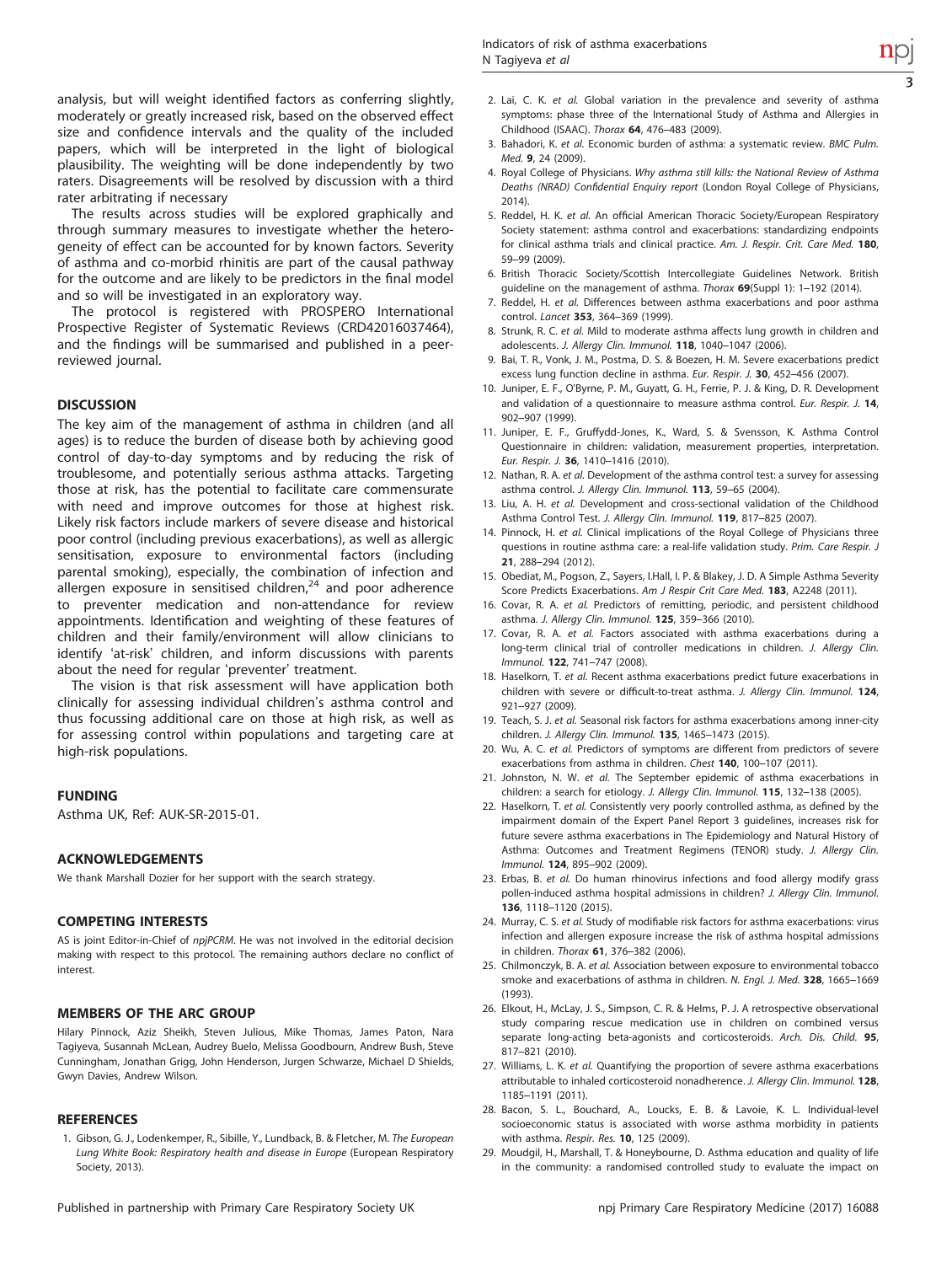<span id="page-3-0"></span>analysis, but will weight identified factors as conferring slightly, moderately or greatly increased risk, based on the observed effect size and confidence intervals and the quality of the included papers, which will be interpreted in the light of biological plausibility. The weighting will be done independently by two raters. Disagreements will be resolved by discussion with a third rater arbitrating if necessary

The results across studies will be explored graphically and through summary measures to investigate whether the heterogeneity of effect can be accounted for by known factors. Severity of asthma and co-morbid rhinitis are part of the causal pathway for the outcome and are likely to be predictors in the final model and so will be investigated in an exploratory way.

The protocol is registered with PROSPERO International Prospective Register of Systematic Reviews (CRD42016037464), and the findings will be summarised and published in a peerreviewed journal.

### **DISCUSSION**

The key aim of the management of asthma in children (and all ages) is to reduce the burden of disease both by achieving good control of day-to-day symptoms and by reducing the risk of troublesome, and potentially serious asthma attacks. Targeting those at risk, has the potential to facilitate care commensurate with need and improve outcomes for those at highest risk. Likely risk factors include markers of severe disease and historical poor control (including previous exacerbations), as well as allergic sensitisation, exposure to environmental factors (including parental smoking), especially, the combination of infection and allergen exposure in sensitised children, $24$  and poor adherence to preventer medication and non-attendance for review appointments. Identification and weighting of these features of children and their family/environment will allow clinicians to identify 'at-risk' children, and inform discussions with parents about the need for regular 'preventer' treatment.

The vision is that risk assessment will have application both clinically for assessing individual children's asthma control and thus focussing additional care on those at high risk, as well as for assessing control within populations and targeting care at high-risk populations.

### FUNDING

Asthma UK, Ref: AUK-SR-2015-01.

#### ACKNOWLEDGEMENTS

We thank Marshall Dozier for her support with the search strategy.

#### COMPETING INTERESTS

AS is joint Editor-in-Chief of npjPCRM. He was not involved in the editorial decision making with respect to this protocol. The remaining authors declare no conflict of interest.

#### MEMBERS OF THE ARC GROUP

Hilary Pinnock, Aziz Sheikh, Steven Julious, Mike Thomas, James Paton, Nara Tagiyeva, Susannah McLean, Audrey Buelo, Melissa Goodbourn, Andrew Bush, Steve Cunningham, Jonathan Grigg, John Henderson, Jurgen Schwarze, Michael D Shields, Gwyn Davies, Andrew Wilson.

### **REFERENCES**

1. Gibson, G. J., Lodenkemper, R., Sibille, Y., Lundback, B. & Fletcher, M. The European Lung White Book: Respiratory health and disease in Europe (European Respiratory Society, 2013).

- 2. Lai, C. K. et al. Global variation in the prevalence and severity of asthma symptoms: phase three of the International Study of Asthma and Allergies in Childhood (ISAAC). Thorax 64, 476–483 (2009).
- 3. Bahadori, K. et al. Economic burden of asthma: a systematic review. BMC Pulm. Med. 9, 24 (2009).
- 4. Royal College of Physicians. Why asthma still kills: the National Review of Asthma Deaths (NRAD) Confidential Enquiry report (London Royal College of Physicians, 2014)
- 5. Reddel, H. K. et al. An official American Thoracic Society/European Respiratory Society statement: asthma control and exacerbations: standardizing endpoints for clinical asthma trials and clinical practice. Am. J. Respir. Crit. Care Med. 180, 59–99 (2009).
- 6. British Thoracic Society/Scottish Intercollegiate Guidelines Network. British guideline on the management of asthma. Thorax 69(Suppl 1): 1–192 (2014).
- 7. Reddel, H. et al. Differences between asthma exacerbations and poor asthma control. Lancet 353, 364–369 (1999).
- 8. Strunk, R. C. et al. Mild to moderate asthma affects lung growth in children and adolescents. J. Allergy Clin. Immunol. 118, 1040–1047 (2006).
- 9. Bai, T. R., Vonk, J. M., Postma, D. S. & Boezen, H. M. Severe exacerbations predict excess lung function decline in asthma. Eur. Respir. J. 30, 452-456 (2007).
- 10. Juniper, E. F., O'Byrne, P. M., Guyatt, G. H., Ferrie, P. J. & King, D. R. Development and validation of a questionnaire to measure asthma control. Eur. Respir. J. 14, 902–907 (1999).
- 11. Juniper, E. F., Gruffydd-Jones, K., Ward, S. & Svensson, K. Asthma Control Questionnaire in children: validation, measurement properties, interpretation. Eur. Respir. J. 36, 1410–1416 (2010).
- 12. Nathan, R. A. et al. Development of the asthma control test: a survey for assessing asthma control. J. Allergy Clin. Immunol. 113, 59–65 (2004).
- 13. Liu, A. H. et al. Development and cross-sectional validation of the Childhood Asthma Control Test. J. Allergy Clin. Immunol. 119, 817–825 (2007).
- 14. Pinnock, H. et al. Clinical implications of the Royal College of Physicians three questions in routine asthma care: a real-life validation study. Prim. Care Respir. J 21, 288–294 (2012).
- 15. Obediat, M., Pogson, Z., Sayers, I.Hall, I. P. & Blakey, J. D. A Simple Asthma Severity Score Predicts Exacerbations. Am J Respir Crit Care Med. 183, A2248 (2011).
- 16. Covar, R. A. et al. Predictors of remitting, periodic, and persistent childhood asthma. J. Allergy Clin. Immunol. 125, 359–366 (2010).
- 17. Covar, R. A. et al. Factors associated with asthma exacerbations during a long-term clinical trial of controller medications in children. J. Allergy Clin. Immunol. 122, 741–747 (2008).
- 18. Haselkorn, T. et al. Recent asthma exacerbations predict future exacerbations in children with severe or difficult-to-treat asthma. J. Allergy Clin. Immunol. 124, 921–927 (2009).
- 19. Teach, S. J. et al. Seasonal risk factors for asthma exacerbations among inner-city children. J. Allergy Clin. Immunol. 135, 1465–1473 (2015).
- 20. Wu, A. C. et al. Predictors of symptoms are different from predictors of severe exacerbations from asthma in children. Chest 140, 100–107 (2011).
- 21. Johnston, N. W. et al. The September epidemic of asthma exacerbations in children: a search for etiology. J. Allergy Clin. Immunol. 115, 132-138 (2005).
- 22. Haselkorn, T. et al. Consistently very poorly controlled asthma, as defined by the impairment domain of the Expert Panel Report 3 guidelines, increases risk for future severe asthma exacerbations in The Epidemiology and Natural History of Asthma: Outcomes and Treatment Regimens (TENOR) study. J. Allergy Clin. Immunol. 124, 895–902 (2009).
- 23. Erbas, B. et al. Do human rhinovirus infections and food allergy modify grass pollen-induced asthma hospital admissions in children? J. Allergy Clin. Immunol. 136, 1118–1120 (2015).
- 24. Murray, C. S. et al. Study of modifiable risk factors for asthma exacerbations: virus infection and allergen exposure increase the risk of asthma hospital admissions in children. Thorax 61, 376-382 (2006).
- 25. Chilmonczyk, B. A. et al. Association between exposure to environmental tobacco smoke and exacerbations of asthma in children. N. Engl. J. Med. 328, 1665–1669 (1993).
- 26. Elkout, H., McLay, J. S., Simpson, C. R. & Helms, P. J. A retrospective observational study comparing rescue medication use in children on combined versus separate long-acting beta-agonists and corticosteroids. Arch. Dis. Child. 95, 817–821 (2010).
- 27. Williams, L. K. et al. Quantifying the proportion of severe asthma exacerbations attributable to inhaled corticosteroid nonadherence. J. Allergy Clin. Immunol. 128, 1185–1191 (2011).
- 28. Bacon, S. L., Bouchard, A., Loucks, E. B. & Lavoie, K. L. Individual-level socioeconomic status is associated with worse asthma morbidity in patients with asthma. Respir. Res. 10, 125 (2009).
- 29. Moudgil, H., Marshall, T. & Honeybourne, D. Asthma education and quality of life in the community: a randomised controlled study to evaluate the impact on